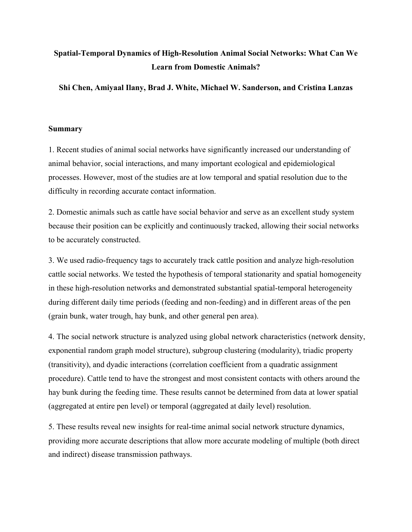# **Spatial-Temporal Dynamics of High-Resolution Animal Social Networks: What Can We Learn from Domestic Animals?**

**Shi Chen, Amiyaal Ilany, Brad J. White, Michael W. Sanderson, and Cristina Lanzas**

# **Summary**

1. Recent studies of animal social networks have significantly increased our understanding of animal behavior, social interactions, and many important ecological and epidemiological processes. However, most of the studies are at low temporal and spatial resolution due to the difficulty in recording accurate contact information.

2. Domestic animals such as cattle have social behavior and serve as an excellent study system because their position can be explicitly and continuously tracked, allowing their social networks to be accurately constructed.

3. We used radio-frequency tags to accurately track cattle position and analyze high-resolution cattle social networks. We tested the hypothesis of temporal stationarity and spatial homogeneity in these high-resolution networks and demonstrated substantial spatial-temporal heterogeneity during different daily time periods (feeding and non-feeding) and in different areas of the pen (grain bunk, water trough, hay bunk, and other general pen area).

4. The social network structure is analyzed using global network characteristics (network density, exponential random graph model structure), subgroup clustering (modularity), triadic property (transitivity), and dyadic interactions (correlation coefficient from a quadratic assignment procedure). Cattle tend to have the strongest and most consistent contacts with others around the hay bunk during the feeding time. These results cannot be determined from data at lower spatial (aggregated at entire pen level) or temporal (aggregated at daily level) resolution.

5. These results reveal new insights for real-time animal social network structure dynamics, providing more accurate descriptions that allow more accurate modeling of multiple (both direct and indirect) disease transmission pathways.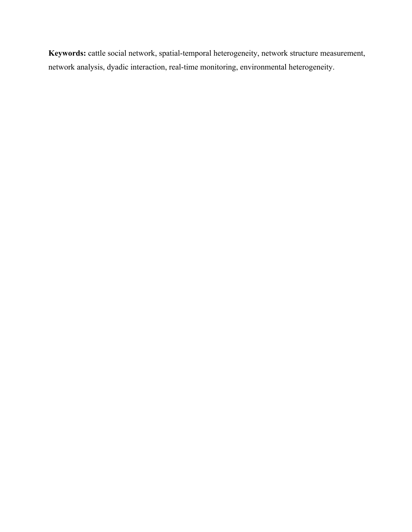**Keywords:** cattle social network, spatial-temporal heterogeneity, network structure measurement, network analysis, dyadic interaction, real-time monitoring, environmental heterogeneity.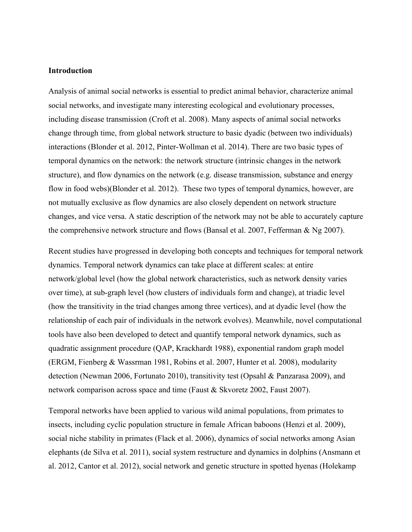## **Introduction**

Analysis of animal social networks is essential to predict animal behavior, characterize animal social networks, and investigate many interesting ecological and evolutionary processes, including disease transmission (Croft et al. 2008). Many aspects of animal social networks change through time, from global network structure to basic dyadic (between two individuals) interactions (Blonder et al. 2012, Pinter-Wollman et al. 2014). There are two basic types of temporal dynamics on the network: the network structure (intrinsic changes in the network structure), and flow dynamics on the network (e.g. disease transmission, substance and energy flow in food webs)(Blonder et al. 2012). These two types of temporal dynamics, however, are not mutually exclusive as flow dynamics are also closely dependent on network structure changes, and vice versa. A static description of the network may not be able to accurately capture the comprehensive network structure and flows (Bansal et al. 2007, Fefferman & Ng 2007).

Recent studies have progressed in developing both concepts and techniques for temporal network dynamics. Temporal network dynamics can take place at different scales: at entire network/global level (how the global network characteristics, such as network density varies over time), at sub-graph level (how clusters of individuals form and change), at triadic level (how the transitivity in the triad changes among three vertices), and at dyadic level (how the relationship of each pair of individuals in the network evolves). Meanwhile, novel computational tools have also been developed to detect and quantify temporal network dynamics, such as quadratic assignment procedure (QAP, Krackhardt 1988), exponential random graph model (ERGM, Fienberg & Wassrman 1981, Robins et al. 2007, Hunter et al. 2008), modularity detection (Newman 2006, Fortunato 2010), transitivity test (Opsahl & Panzarasa 2009), and network comparison across space and time (Faust & Skvoretz 2002, Faust 2007).

Temporal networks have been applied to various wild animal populations, from primates to insects, including cyclic population structure in female African baboons (Henzi et al. 2009), social niche stability in primates (Flack et al. 2006), dynamics of social networks among Asian elephants (de Silva et al. 2011), social system restructure and dynamics in dolphins (Ansmann et al. 2012, Cantor et al. 2012), social network and genetic structure in spotted hyenas (Holekamp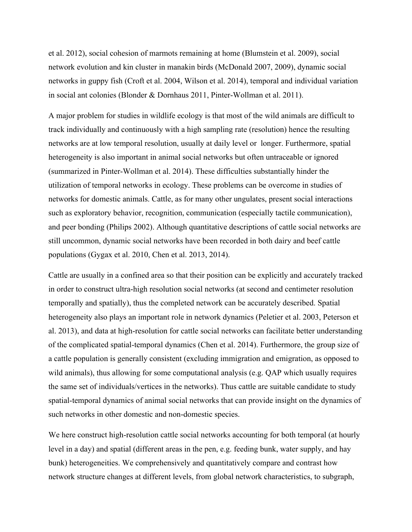et al. 2012), social cohesion of marmots remaining at home (Blumstein et al. 2009), social network evolution and kin cluster in manakin birds (McDonald 2007, 2009), dynamic social networks in guppy fish (Croft et al. 2004, Wilson et al. 2014), temporal and individual variation in social ant colonies (Blonder & Dornhaus 2011, Pinter-Wollman et al. 2011).

A major problem for studies in wildlife ecology is that most of the wild animals are difficult to track individually and continuously with a high sampling rate (resolution) hence the resulting networks are at low temporal resolution, usually at daily level or longer. Furthermore, spatial heterogeneity is also important in animal social networks but often untraceable or ignored (summarized in Pinter-Wollman et al. 2014). These difficulties substantially hinder the utilization of temporal networks in ecology. These problems can be overcome in studies of networks for domestic animals. Cattle, as for many other ungulates, present social interactions such as exploratory behavior, recognition, communication (especially tactile communication), and peer bonding (Philips 2002). Although quantitative descriptions of cattle social networks are still uncommon, dynamic social networks have been recorded in both dairy and beef cattle populations (Gygax et al. 2010, Chen et al. 2013, 2014).

Cattle are usually in a confined area so that their position can be explicitly and accurately tracked in order to construct ultra-high resolution social networks (at second and centimeter resolution temporally and spatially), thus the completed network can be accurately described. Spatial heterogeneity also plays an important role in network dynamics (Peletier et al. 2003, Peterson et al. 2013), and data at high-resolution for cattle social networks can facilitate better understanding of the complicated spatial-temporal dynamics (Chen et al. 2014). Furthermore, the group size of a cattle population is generally consistent (excluding immigration and emigration, as opposed to wild animals), thus allowing for some computational analysis (e.g. QAP which usually requires the same set of individuals/vertices in the networks). Thus cattle are suitable candidate to study spatial-temporal dynamics of animal social networks that can provide insight on the dynamics of such networks in other domestic and non-domestic species.

We here construct high-resolution cattle social networks accounting for both temporal (at hourly level in a day) and spatial (different areas in the pen, e.g. feeding bunk, water supply, and hay bunk) heterogeneities. We comprehensively and quantitatively compare and contrast how network structure changes at different levels, from global network characteristics, to subgraph,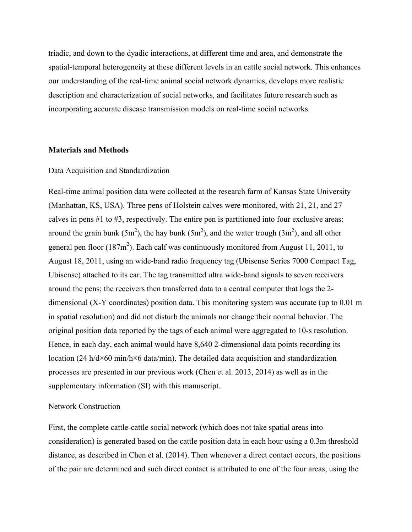triadic, and down to the dyadic interactions, at different time and area, and demonstrate the spatial-temporal heterogeneity at these different levels in an cattle social network. This enhances our understanding of the real-time animal social network dynamics, develops more realistic description and characterization of social networks, and facilitates future research such as incorporating accurate disease transmission models on real-time social networks.

### **Materials and Methods**

#### Data Acquisition and Standardization

Real-time animal position data were collected at the research farm of Kansas State University (Manhattan, KS, USA). Three pens of Holstein calves were monitored, with 21, 21, and 27 calves in pens #1 to #3, respectively. The entire pen is partitioned into four exclusive areas: around the grain bunk (5m<sup>2</sup>), the hay bunk (5m<sup>2</sup>), and the water trough (3m<sup>2</sup>), and all other general pen floor  $(187m^2)$ . Each calf was continuously monitored from August 11, 2011, to August 18, 2011, using an wide-band radio frequency tag (Ubisense Series 7000 Compact Tag, Ubisense) attached to its ear. The tag transmitted ultra wide-band signals to seven receivers around the pens; the receivers then transferred data to a central computer that logs the 2 dimensional (X-Y coordinates) position data. This monitoring system was accurate (up to 0.01 m in spatial resolution) and did not disturb the animals nor change their normal behavior. The original position data reported by the tags of each animal were aggregated to 10-s resolution. Hence, in each day, each animal would have 8,640 2-dimensional data points recording its location (24 h/d×60 min/h×6 data/min). The detailed data acquisition and standardization processes are presented in our previous work (Chen et al. 2013, 2014) as well as in the supplementary information (SI) with this manuscript.

#### Network Construction

First, the complete cattle-cattle social network (which does not take spatial areas into consideration) is generated based on the cattle position data in each hour using a 0.3m threshold distance, as described in Chen et al. (2014). Then whenever a direct contact occurs, the positions of the pair are determined and such direct contact is attributed to one of the four areas, using the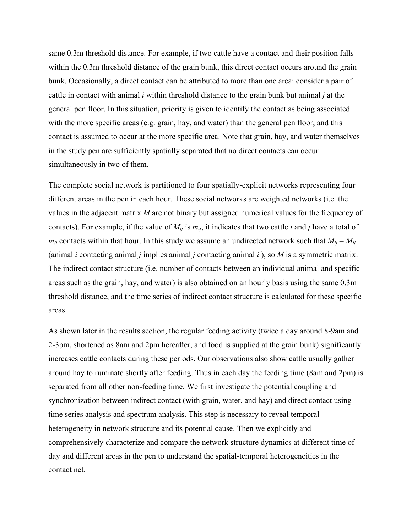same 0.3m threshold distance. For example, if two cattle have a contact and their position falls within the 0.3m threshold distance of the grain bunk, this direct contact occurs around the grain bunk. Occasionally, a direct contact can be attributed to more than one area: consider a pair of cattle in contact with animal *i* within threshold distance to the grain bunk but animal *j* at the general pen floor. In this situation, priority is given to identify the contact as being associated with the more specific areas (e.g. grain, hay, and water) than the general pen floor, and this contact is assumed to occur at the more specific area. Note that grain, hay, and water themselves in the study pen are sufficiently spatially separated that no direct contacts can occur simultaneously in two of them.

The complete social network is partitioned to four spatially-explicit networks representing four different areas in the pen in each hour. These social networks are weighted networks (i.e. the values in the adjacent matrix *M* are not binary but assigned numerical values for the frequency of contacts). For example, if the value of  $M_{ij}$  is  $m_{ij}$ , it indicates that two cattle *i* and *j* have a total of  $m_{ij}$  contacts within that hour. In this study we assume an undirected network such that  $M_{ij} = M_{ji}$ (animal *i* contacting animal *j* implies animal *j* contacting animal *i* ), so *M* is a symmetric matrix. The indirect contact structure (i.e. number of contacts between an individual animal and specific areas such as the grain, hay, and water) is also obtained on an hourly basis using the same 0.3m threshold distance, and the time series of indirect contact structure is calculated for these specific areas.

As shown later in the results section, the regular feeding activity (twice a day around 8-9am and 2-3pm, shortened as 8am and 2pm hereafter, and food is supplied at the grain bunk) significantly increases cattle contacts during these periods. Our observations also show cattle usually gather around hay to ruminate shortly after feeding. Thus in each day the feeding time (8am and 2pm) is separated from all other non-feeding time. We first investigate the potential coupling and synchronization between indirect contact (with grain, water, and hay) and direct contact using time series analysis and spectrum analysis. This step is necessary to reveal temporal heterogeneity in network structure and its potential cause. Then we explicitly and comprehensively characterize and compare the network structure dynamics at different time of day and different areas in the pen to understand the spatial-temporal heterogeneities in the contact net.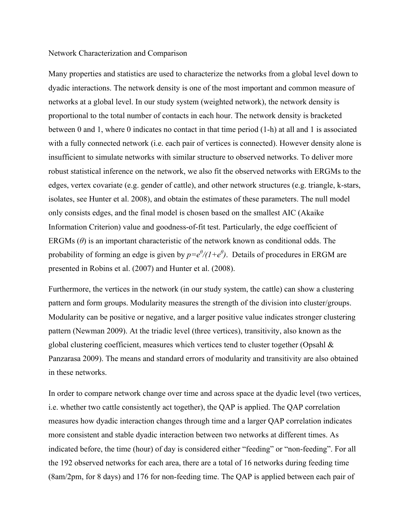#### Network Characterization and Comparison

Many properties and statistics are used to characterize the networks from a global level down to dyadic interactions. The network density is one of the most important and common measure of networks at a global level. In our study system (weighted network), the network density is proportional to the total number of contacts in each hour. The network density is bracketed between 0 and 1, where 0 indicates no contact in that time period (1-h) at all and 1 is associated with a fully connected network (i.e. each pair of vertices is connected). However density alone is insufficient to simulate networks with similar structure to observed networks. To deliver more robust statistical inference on the network, we also fit the observed networks with ERGMs to the edges, vertex covariate (e.g. gender of cattle), and other network structures (e.g. triangle, k-stars, isolates, see Hunter et al. 2008), and obtain the estimates of these parameters. The null model only consists edges, and the final model is chosen based on the smallest AIC (Akaike Information Criterion) value and goodness-of-fit test. Particularly, the edge coefficient of ERGMs (*θ*) is an important characteristic of the network known as conditional odds. The probability of forming an edge is given by  $p = e^{\theta}/(1+e^{\theta})$ . Details of procedures in ERGM are presented in Robins et al. (2007) and Hunter et al. (2008).

Furthermore, the vertices in the network (in our study system, the cattle) can show a clustering pattern and form groups. Modularity measures the strength of the division into cluster/groups. Modularity can be positive or negative, and a larger positive value indicates stronger clustering pattern (Newman 2009). At the triadic level (three vertices), transitivity, also known as the global clustering coefficient, measures which vertices tend to cluster together (Opsahl & Panzarasa 2009). The means and standard errors of modularity and transitivity are also obtained in these networks.

In order to compare network change over time and across space at the dyadic level (two vertices, i.e. whether two cattle consistently act together), the QAP is applied. The QAP correlation measures how dyadic interaction changes through time and a larger QAP correlation indicates more consistent and stable dyadic interaction between two networks at different times. As indicated before, the time (hour) of day is considered either "feeding" or "non-feeding". For all the 192 observed networks for each area, there are a total of 16 networks during feeding time (8am/2pm, for 8 days) and 176 for non-feeding time. The QAP is applied between each pair of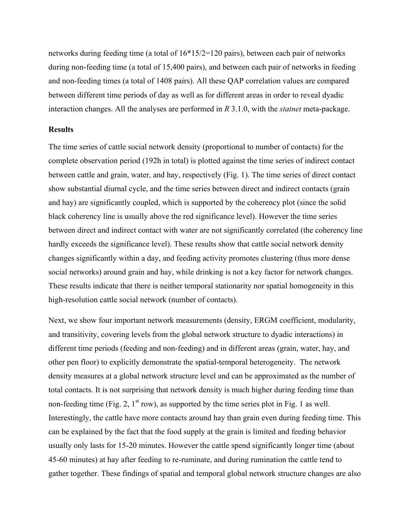networks during feeding time (a total of 16\*15/2=120 pairs), between each pair of networks during non-feeding time (a total of 15,400 pairs), and between each pair of networks in feeding and non-feeding times (a total of 1408 pairs). All these QAP correlation values are compared between different time periods of day as well as for different areas in order to reveal dyadic interaction changes. All the analyses are performed in *R* 3.1.0, with the *statnet* meta-package.

#### **Results**

The time series of cattle social network density (proportional to number of contacts) for the complete observation period (192h in total) is plotted against the time series of indirect contact between cattle and grain, water, and hay, respectively (Fig. 1). The time series of direct contact show substantial diurnal cycle, and the time series between direct and indirect contacts (grain and hay) are significantly coupled, which is supported by the coherency plot (since the solid black coherency line is usually above the red significance level). However the time series between direct and indirect contact with water are not significantly correlated (the coherency line hardly exceeds the significance level). These results show that cattle social network density changes significantly within a day, and feeding activity promotes clustering (thus more dense social networks) around grain and hay, while drinking is not a key factor for network changes. These results indicate that there is neither temporal stationarity nor spatial homogeneity in this high-resolution cattle social network (number of contacts).

Next, we show four important network measurements (density, ERGM coefficient, modularity, and transitivity, covering levels from the global network structure to dyadic interactions) in different time periods (feeding and non-feeding) and in different areas (grain, water, hay, and other pen floor) to explicitly demonstrate the spatial-temporal heterogeneity. The network density measures at a global network structure level and can be approximated as the number of total contacts. It is not surprising that network density is much higher during feeding time than non-feeding time (Fig. 2,  $1<sup>st</sup>$  row), as supported by the time series plot in Fig. 1 as well. Interestingly, the cattle have more contacts around hay than grain even during feeding time. This can be explained by the fact that the food supply at the grain is limited and feeding behavior usually only lasts for 15-20 minutes. However the cattle spend significantly longer time (about 45-60 minutes) at hay after feeding to re-ruminate, and during rumination the cattle tend to gather together. These findings of spatial and temporal global network structure changes are also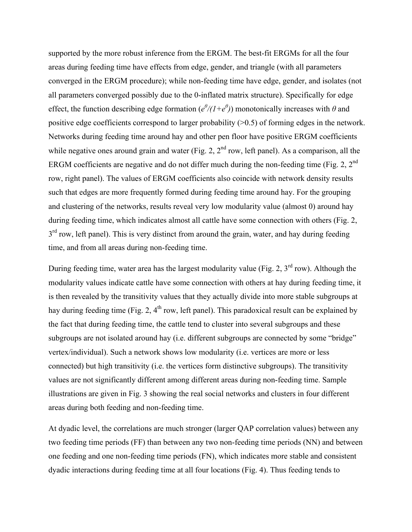supported by the more robust inference from the ERGM. The best-fit ERGMs for all the four areas during feeding time have effects from edge, gender, and triangle (with all parameters converged in the ERGM procedure); while non-feeding time have edge, gender, and isolates (not all parameters converged possibly due to the 0-inflated matrix structure). Specifically for edge effect, the function describing edge formation  $(e^{\theta}/(1+e^{\theta}))$  monotonically increases with  $\theta$  and positive edge coefficients correspond to larger probability (>0.5) of forming edges in the network. Networks during feeding time around hay and other pen floor have positive ERGM coefficients while negative ones around grain and water (Fig. 2,  $2<sup>nd</sup>$  row, left panel). As a comparison, all the ERGM coefficients are negative and do not differ much during the non-feeding time (Fig. 2,  $2^{nd}$ ) row, right panel). The values of ERGM coefficients also coincide with network density results such that edges are more frequently formed during feeding time around hay. For the grouping and clustering of the networks, results reveal very low modularity value (almost 0) around hay during feeding time, which indicates almost all cattle have some connection with others (Fig. 2,  $3<sup>rd</sup>$  row, left panel). This is very distinct from around the grain, water, and hay during feeding time, and from all areas during non-feeding time.

During feeding time, water area has the largest modularity value (Fig. 2,  $3<sup>rd</sup>$  row). Although the modularity values indicate cattle have some connection with others at hay during feeding time, it is then revealed by the transitivity values that they actually divide into more stable subgroups at hay during feeding time (Fig. 2, 4<sup>th</sup> row, left panel). This paradoxical result can be explained by the fact that during feeding time, the cattle tend to cluster into several subgroups and these subgroups are not isolated around hay (i.e. different subgroups are connected by some "bridge" vertex/individual). Such a network shows low modularity (i.e. vertices are more or less connected) but high transitivity (i.e. the vertices form distinctive subgroups). The transitivity values are not significantly different among different areas during non-feeding time. Sample illustrations are given in Fig. 3 showing the real social networks and clusters in four different areas during both feeding and non-feeding time.

At dyadic level, the correlations are much stronger (larger QAP correlation values) between any two feeding time periods (FF) than between any two non-feeding time periods (NN) and between one feeding and one non-feeding time periods (FN), which indicates more stable and consistent dyadic interactions during feeding time at all four locations (Fig. 4). Thus feeding tends to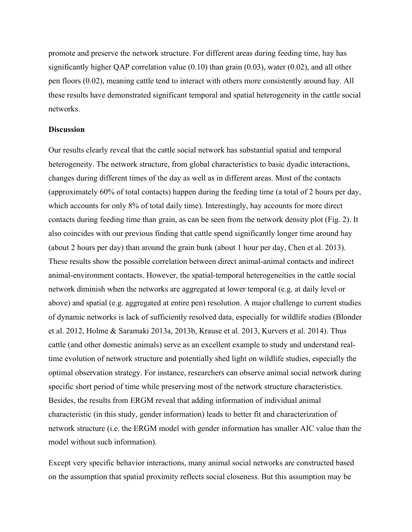promote and preserve the network structure. For different areas during feeding time, hay has significantly higher QAP correlation value (0.10) than grain (0.03), water (0.02), and all other pen floors (0.02), meaning cattle tend to interact with others more consistently around hay. All these results have demonstrated significant temporal and spatial heterogeneity in the cattle social networks.

# **Discussion**

Our results clearly reveal that the cattle social network has substantial spatial and temporal heterogeneity. The network structure, from global characteristics to basic dyadic interactions, changes during different times of the day as well as in different areas. Most of the contacts (approximately 60% of total contacts) happen during the feeding time (a total of 2 hours per day, which accounts for only 8% of total daily time). Interestingly, hay accounts for more direct contacts during feeding time than grain, as can be seen from the network density plot (Fig. 2). It also coincides with our previous finding that cattle spend significantly longer time around hay (about 2 hours per day) than around the grain bunk (about 1 hour per day, Chen et al. 2013). These results show the possible correlation between direct animal-animal contacts and indirect animal-environment contacts. However, the spatial-temporal heterogeneities in the cattle social network diminish when the networks are aggregated at lower temporal (e.g. at daily level or above) and spatial (e.g. aggregated at entire pen) resolution. A major challenge to current studies of dynamic networks is lack of sufficiently resolved data, especially for wildlife studies (Blonder et al. 2012, Holme & Saramaki 2013a, 2013b, Krause et al. 2013, Kurvers et al. 2014). Thus cattle (and other domestic animals) serve as an excellent example to study and understand realtime evolution of network structure and potentially shed light on wildlife studies, especially the optimal observation strategy. For instance, researchers can observe animal social network during specific short period of time while preserving most of the network structure characteristics. Besides, the results from ERGM reveal that adding information of individual animal characteristic (in this study, gender information) leads to better fit and characterization of network structure (i.e. the ERGM model with gender information has smaller AIC value than the model without such information).

Except very specific behavior interactions, many animal social networks are constructed based on the assumption that spatial proximity reflects social closeness. But this assumption may be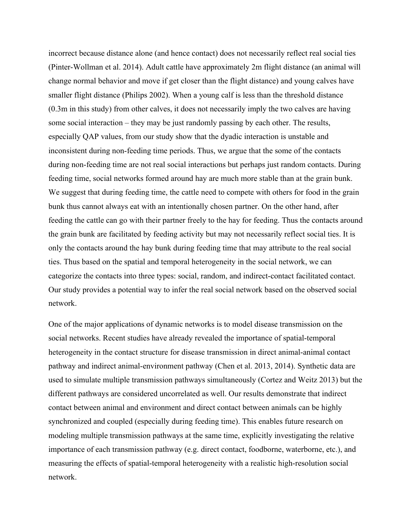incorrect because distance alone (and hence contact) does not necessarily reflect real social ties (Pinter-Wollman et al. 2014). Adult cattle have approximately 2m flight distance (an animal will change normal behavior and move if get closer than the flight distance) and young calves have smaller flight distance (Philips 2002). When a young calf is less than the threshold distance (0.3m in this study) from other calves, it does not necessarily imply the two calves are having some social interaction – they may be just randomly passing by each other. The results, especially QAP values, from our study show that the dyadic interaction is unstable and inconsistent during non-feeding time periods. Thus, we argue that the some of the contacts during non-feeding time are not real social interactions but perhaps just random contacts. During feeding time, social networks formed around hay are much more stable than at the grain bunk. We suggest that during feeding time, the cattle need to compete with others for food in the grain bunk thus cannot always eat with an intentionally chosen partner. On the other hand, after feeding the cattle can go with their partner freely to the hay for feeding. Thus the contacts around the grain bunk are facilitated by feeding activity but may not necessarily reflect social ties. It is only the contacts around the hay bunk during feeding time that may attribute to the real social ties. Thus based on the spatial and temporal heterogeneity in the social network, we can categorize the contacts into three types: social, random, and indirect-contact facilitated contact. Our study provides a potential way to infer the real social network based on the observed social network.

One of the major applications of dynamic networks is to model disease transmission on the social networks. Recent studies have already revealed the importance of spatial-temporal heterogeneity in the contact structure for disease transmission in direct animal-animal contact pathway and indirect animal-environment pathway (Chen et al. 2013, 2014). Synthetic data are used to simulate multiple transmission pathways simultaneously (Cortez and Weitz 2013) but the different pathways are considered uncorrelated as well. Our results demonstrate that indirect contact between animal and environment and direct contact between animals can be highly synchronized and coupled (especially during feeding time). This enables future research on modeling multiple transmission pathways at the same time, explicitly investigating the relative importance of each transmission pathway (e.g. direct contact, foodborne, waterborne, etc.), and measuring the effects of spatial-temporal heterogeneity with a realistic high-resolution social network.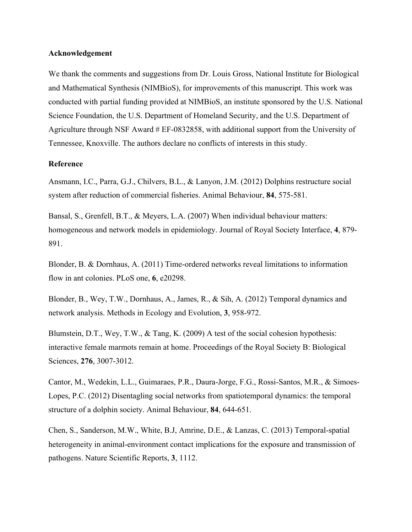#### **Acknowledgement**

We thank the comments and suggestions from Dr. Louis Gross, National Institute for Biological and Mathematical Synthesis (NIMBioS), for improvements of this manuscript. This work was conducted with partial funding provided at NIMBioS, an institute sponsored by the U.S. National Science Foundation, the U.S. Department of Homeland Security, and the U.S. Department of Agriculture through NSF Award # EF-0832858, with additional support from the University of Tennessee, Knoxville. The authors declare no conflicts of interests in this study.

## **Reference**

Ansmann, I.C., Parra, G.J., Chilvers, B.L., & Lanyon, J.M. (2012) Dolphins restructure social system after reduction of commercial fisheries. Animal Behaviour, **84**, 575-581.

Bansal, S., Grenfell, B.T., & Meyers, L.A. (2007) When individual behaviour matters: homogeneous and network models in epidemiology. Journal of Royal Society Interface, **4**, 879- 891.

Blonder, B. & Dornhaus, A. (2011) Time-ordered networks reveal limitations to information flow in ant colonies. PLoS one, **6**, e20298.

Blonder, B., Wey, T.W., Dornhaus, A., James, R., & Sih, A. (2012) Temporal dynamics and network analysis. Methods in Ecology and Evolution, **3**, 958-972.

Blumstein, D.T., Wey, T.W., & Tang, K. (2009) A test of the social cohesion hypothesis: interactive female marmots remain at home. Proceedings of the Royal Society B: Biological Sciences, **276**, 3007-3012.

Cantor, M., Wedekin, L.L., Guimaraes, P.R., Daura-Jorge, F.G., Rossi-Santos, M.R., & Simoes-Lopes, P.C. (2012) Disentagling social networks from spatiotemporal dynamics: the temporal structure of a dolphin society. Animal Behaviour, **84**, 644-651.

Chen, S., Sanderson, M.W., White, B.J, Amrine, D.E., & Lanzas, C. (2013) Temporal-spatial heterogeneity in animal-environment contact implications for the exposure and transmission of pathogens. Nature Scientific Reports, **3**, 1112.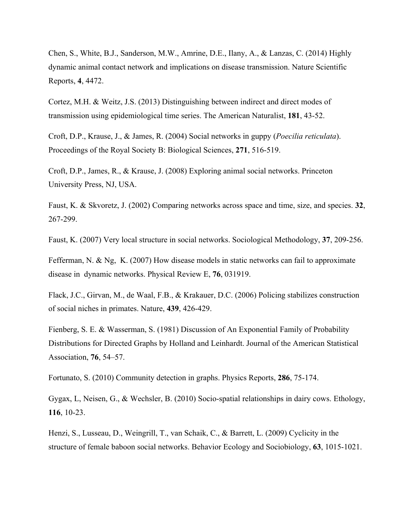Chen, S., White, B.J., Sanderson, M.W., Amrine, D.E., Ilany, A., & Lanzas, C. (2014) Highly dynamic animal contact network and implications on disease transmission. Nature Scientific Reports, **4**, 4472.

Cortez, M.H. & Weitz, J.S. (2013) Distinguishing between indirect and direct modes of transmission using epidemiological time series. The American Naturalist, **181**, 43-52.

Croft, D.P., Krause, J., & James, R. (2004) Social networks in guppy (*Poecilia reticulata*). Proceedings of the Royal Society B: Biological Sciences, **271**, 516-519.

Croft, D.P., James, R., & Krause, J. (2008) Exploring animal social networks. Princeton University Press, NJ, USA.

Faust, K. & Skvoretz, J. (2002) Comparing networks across space and time, size, and species. **32**, 267-299.

Faust, K. (2007) Very local structure in social networks. Sociological Methodology, **37**, 209-256.

Fefferman, N. & Ng, K. (2007) How disease models in static networks can fail to approximate disease in dynamic networks. Physical Review E, **76**, 031919.

Flack, J.C., Girvan, M., de Waal, F.B., & Krakauer, D.C. (2006) Policing stabilizes construction of social niches in primates. Nature, **439**, 426-429.

Fienberg, S. E. & Wasserman, S. (1981) Discussion of An Exponential Family of Probability Distributions for Directed Graphs by Holland and Leinhardt. Journal of the American Statistical Association, **76**, 54–57.

Fortunato, S. (2010) Community detection in graphs. Physics Reports, **286**, 75-174.

Gygax, L, Neisen, G., & Wechsler, B. (2010) Socio-spatial relationships in dairy cows. Ethology, **116**, 10-23.

Henzi, S., Lusseau, D., Weingrill, T., van Schaik, C., & Barrett, L. (2009) Cyclicity in the structure of female baboon social networks. Behavior Ecology and Sociobiology, **63**, 1015-1021.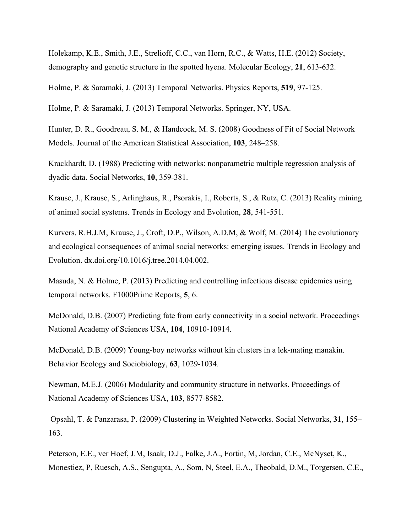Holekamp, K.E., Smith, J.E., Strelioff, C.C., van Horn, R.C., & Watts, H.E. (2012) Society, demography and genetic structure in the spotted hyena. Molecular Ecology, **21**, 613-632.

Holme, P. & Saramaki, J. (2013) Temporal Networks. Physics Reports, **519**, 97-125.

Holme, P. & Saramaki, J. (2013) Temporal Networks. Springer, NY, USA.

Hunter, D. R., Goodreau, S. M., & Handcock, M. S. (2008) Goodness of Fit of Social Network Models. Journal of the American Statistical Association, **103**, 248–258.

Krackhardt, D. (1988) Predicting with networks: nonparametric multiple regression analysis of dyadic data. Social Networks, **10**, 359-381.

Krause, J., Krause, S., Arlinghaus, R., Psorakis, I., Roberts, S., & Rutz, C. (2013) Reality mining of animal social systems. Trends in Ecology and Evolution, **28**, 541-551.

Kurvers, R.H.J.M, Krause, J., Croft, D.P., Wilson, A.D.M, & Wolf, M. (2014) The evolutionary and ecological consequences of animal social networks: emerging issues. Trends in Ecology and Evolution. dx.doi.org/10.1016/j.tree.2014.04.002.

Masuda, N. & Holme, P. (2013) Predicting and controlling infectious disease epidemics using temporal networks. F1000Prime Reports, **5**, 6.

McDonald, D.B. (2007) Predicting fate from early connectivity in a social network. Proceedings National Academy of Sciences USA, **104**, 10910-10914.

McDonald, D.B. (2009) Young-boy networks without kin clusters in a lek-mating manakin. Behavior Ecology and Sociobiology, **63**, 1029-1034.

Newman, M.E.J. (2006) Modularity and community structure in networks. Proceedings of National Academy of Sciences USA, **103**, 8577-8582.

Opsahl, T. & Panzarasa, P. (2009) Clustering in Weighted Networks. Social Networks, **31**, 155– 163.

Peterson, E.E., ver Hoef, J.M, Isaak, D.J., Falke, J.A., Fortin, M, Jordan, C.E., McNyset, K., Monestiez, P, Ruesch, A.S., Sengupta, A., Som, N, Steel, E.A., Theobald, D.M., Torgersen, C.E.,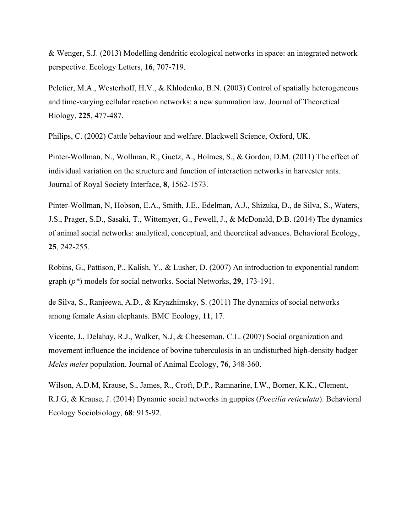& Wenger, S.J. (2013) Modelling dendritic ecological networks in space: an integrated network perspective. Ecology Letters, **16**, 707-719.

Peletier, M.A., Westerhoff, H.V., & Khlodenko, B.N. (2003) Control of spatially heterogeneous and time-varying cellular reaction networks: a new summation law. Journal of Theoretical Biology, **225**, 477-487.

Philips, C. (2002) Cattle behaviour and welfare. Blackwell Science, Oxford, UK.

Pinter-Wollman, N., Wollman, R., Guetz, A., Holmes, S., & Gordon, D.M. (2011) The effect of individual variation on the structure and function of interaction networks in harvester ants. Journal of Royal Society Interface, **8**, 1562-1573.

Pinter-Wollman, N, Hobson, E.A., Smith, J.E., Edelman, A.J., Shizuka, D., de Silva, S., Waters, J.S., Prager, S.D., Sasaki, T., Wittemyer, G., Fewell, J., & McDonald, D.B. (2014) The dynamics of animal social networks: analytical, conceptual, and theoretical advances. Behavioral Ecology, **25**, 242-255.

Robins, G., Pattison, P., Kalish, Y., & Lusher, D. (2007) An introduction to exponential random graph (*p\**) models for social networks. Social Networks, **29**, 173-191.

de Silva, S., Ranjeewa, A.D., & Kryazhimsky, S. (2011) The dynamics of social networks among female Asian elephants. BMC Ecology, **11**, 17.

Vicente, J., Delahay, R.J., Walker, N.J, & Cheeseman, C.L. (2007) Social organization and movement influence the incidence of bovine tuberculosis in an undisturbed high-density badger *Meles meles* population. Journal of Animal Ecology, **76**, 348-360.

Wilson, A.D.M, Krause, S., James, R., Croft, D.P., Ramnarine, I.W., Borner, K.K., Clement, R.J.G, & Krause, J. (2014) Dynamic social networks in guppies (*Poecilia reticulata*). Behavioral Ecology Sociobiology, **68**: 915-92.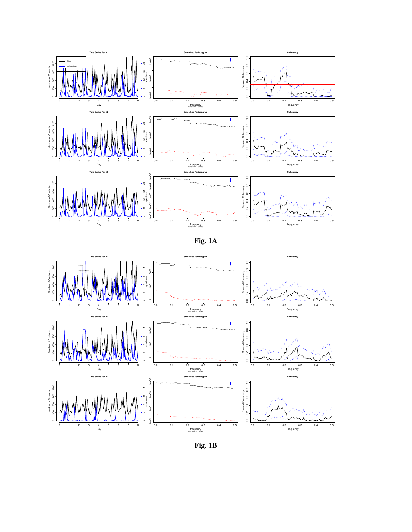





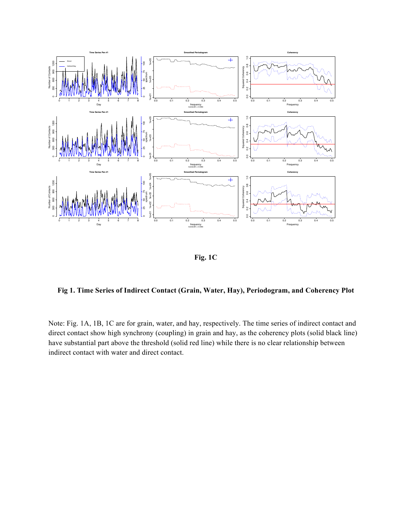

**Fig. 1C**

**Fig 1. Time Series of Indirect Contact (Grain, Water, Hay), Periodogram, and Coherency Plot**

Note: Fig. 1A, 1B, 1C are for grain, water, and hay, respectively. The time series of indirect contact and direct contact show high synchrony (coupling) in grain and hay, as the coherency plots (solid black line) have substantial part above the threshold (solid red line) while there is no clear relationship between indirect contact with water and direct contact.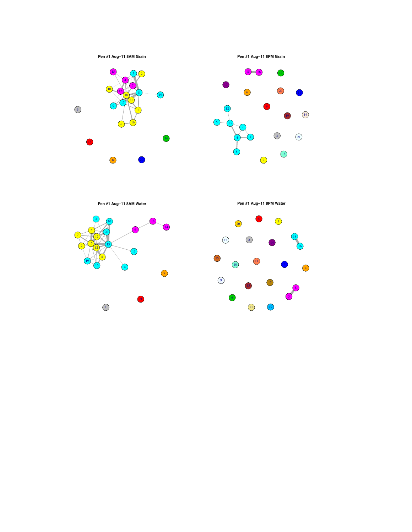

**Pen #1 Aug−11 8PM Grain**





**Pen #1 Aug−11 8AM Water**





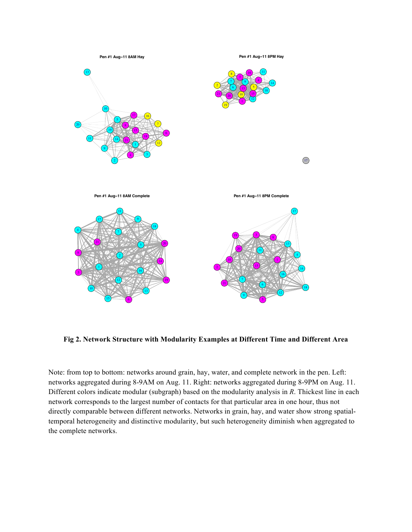

**Fig 2. Network Structure with Modularity Examples at Different Time and Different Area**

Note: from top to bottom: networks around grain, hay, water, and complete network in the pen. Left: networks aggregated during 8-9AM on Aug. 11. Right: networks aggregated during 8-9PM on Aug. 11. Different colors indicate modular (subgraph) based on the modularity analysis in *R*. Thickest line in each network corresponds to the largest number of contacts for that particular area in one hour, thus not directly comparable between different networks. Networks in grain, hay, and water show strong spatialtemporal heterogeneity and distinctive modularity, but such heterogeneity diminish when aggregated to the complete networks.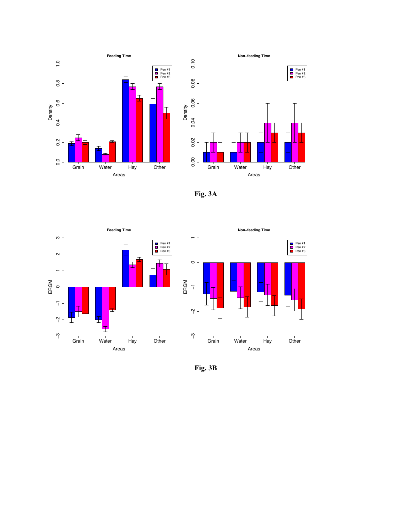

**Fig. 3A**



**Fig. 3B**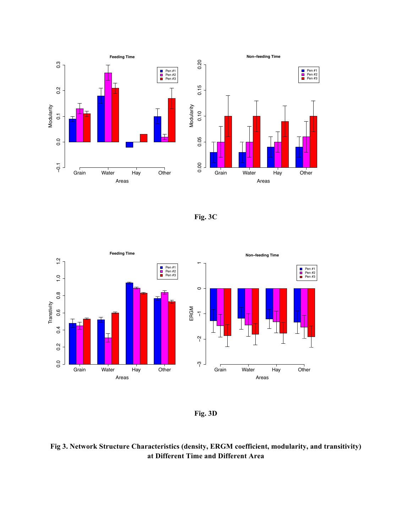![](_page_20_Figure_0.jpeg)

![](_page_20_Figure_1.jpeg)

![](_page_20_Figure_2.jpeg)

**Fig. 3D**

# **Fig 3. Network Structure Characteristics (density, ERGM coefficient, modularity, and transitivity) at Different Time and Different Area**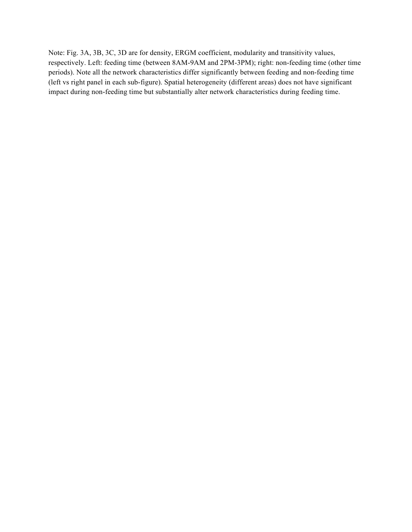Note: Fig. 3A, 3B, 3C, 3D are for density, ERGM coefficient, modularity and transitivity values, respectively. Left: feeding time (between 8AM-9AM and 2PM-3PM); right: non-feeding time (other time periods). Note all the network characteristics differ significantly between feeding and non-feeding time (left vs right panel in each sub-figure). Spatial heterogeneity (different areas) does not have significant impact during non-feeding time but substantially alter network characteristics during feeding time.